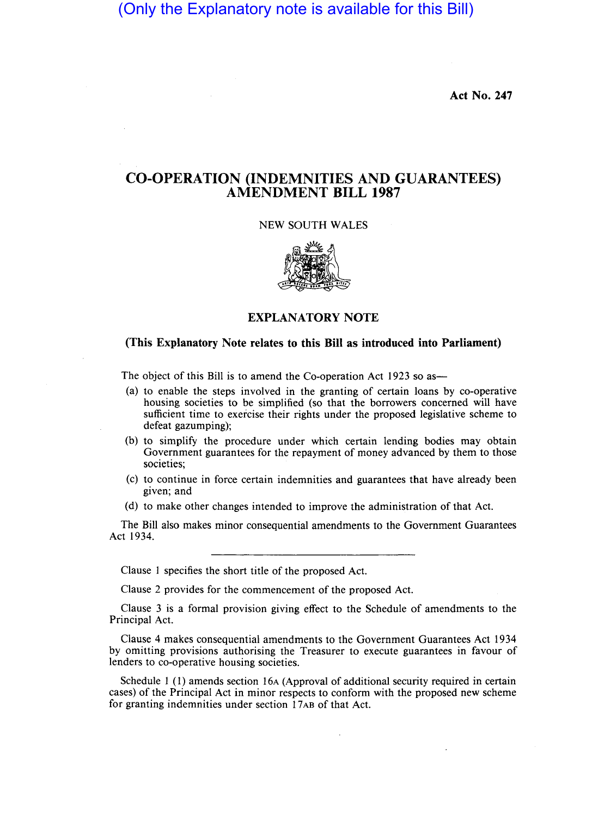(Only the Explanatory note is available for this Bill)

Act No. 247

# CO-OPERATION (INDEMNITIES AND GUARANTEES) AMENDMENT BILL 1987

#### NEW SOUTH WALES



## EXPLANATORY NOTE

#### (This Explanatory Note relates to this Bill as introduced into Parliament)

The object of this Bill is to amend the Co-operation Act 1923 so as-

- (a) to enable the steps involved in the granting of certain loans by co-operative housing societies to be simplified (so that the borrowers concerned will have sufficient time to exercise their rights under the proposed legislative scheme to defeat gazumping);
- (b) to simplify the procedure under which certain lending bodies may obtain Government guarantees for the repayment of money advanced by them to those societies;
- (c) to continue in force certain indemnities and guarantees that have already been given; and
- (d) to make other changes intended to improve the administration of that Act.

The Bill also makes minor consequential amendments to the Government Guarantees Act 1934.

Clause 1 specifies the short title of the proposed Act.

Clause 2 provides for the commencement of the proposed Act.

Clause 3 is a formal provision giving effect to the Schedule of amendments to the Principal Act.

Clause 4 makes consequential amendments to the Government Guarantees Act 1934 by omitting provisions authorising the Treasurer to execute guarantees in favour of lenders to co-operative housing societies.

Schedule 1 (1) amends section 16A (Approval of additional security required in certain cases) of the Principal Act in minor respects to conform with the proposed new scheme for granting indemnities under section 17AB of that Act.